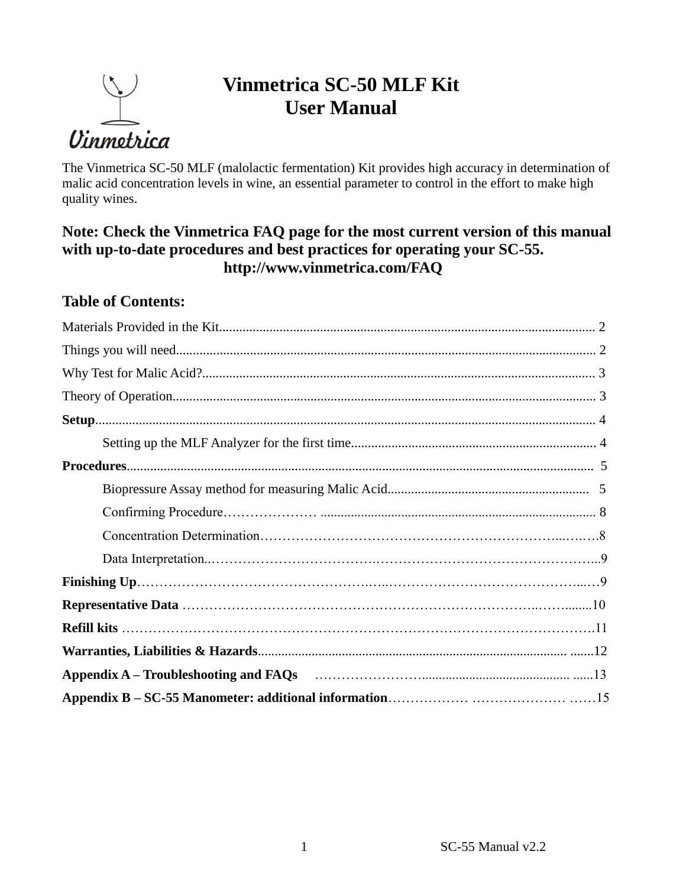

# **Vinmetrica SC-50 MLF Kit User Manual**

The Vinmetrica SC-50 MLF (malolactic fermentation) Kit provides high accuracy in determination of malic acid concentration levels in wine, an essential parameter to control in the effort to make high quality wines.

## **Note: Check the Vinmetrica FAQ page for the most current version of this manual with up-to-date procedures and best practices for operating your SC-55. http://www.vinmetrica.com/FAQ**

## **Table of Contents:**

| Appendix A – Troubleshooting and FAQs (1990) (2008) (2009) (2009) (2009) (2009) (2009) (2009) (2009) (2009) (2009) (2009) (2009) (2009) (2009) (2009) (2009) (2009) (2009) (2009) (2009) (2009) (2009) (2009) (2009) (2009) (2 |
|--------------------------------------------------------------------------------------------------------------------------------------------------------------------------------------------------------------------------------|
|                                                                                                                                                                                                                                |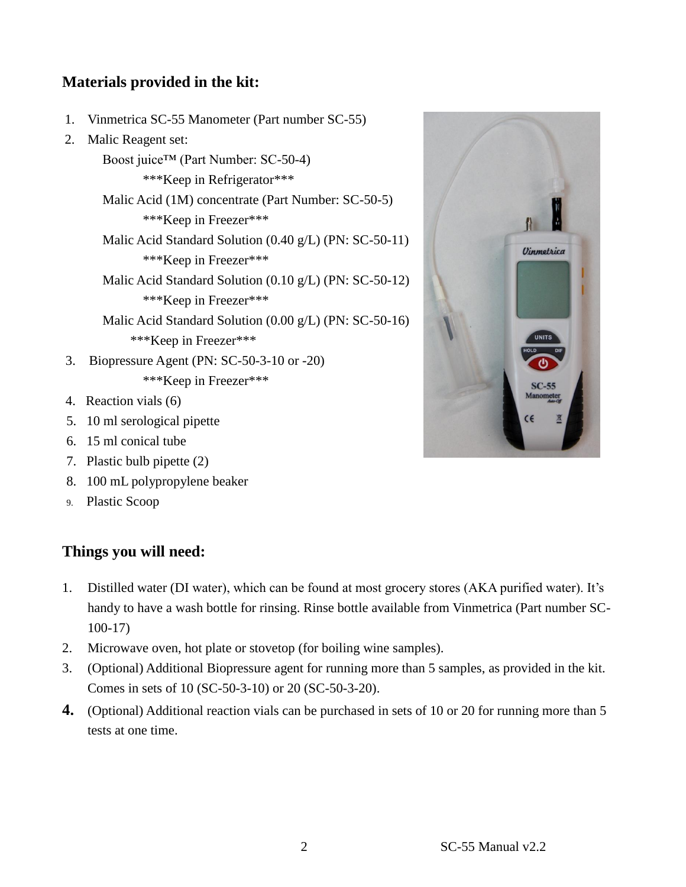# **Materials provided in the kit:**

- 1. Vinmetrica SC-55 Manometer (Part number SC-55)
- 2. Malic Reagent set:

Boost juice™ (Part Number: SC-50-4) \*\*\*Keep in Refrigerator\*\*\* Malic Acid (1M) concentrate (Part Number: SC-50-5) \*\*\*Keep in Freezer\*\*\* Malic Acid Standard Solution (0.40 g/L) (PN: SC-50-11) \*\*\*Keep in Freezer\*\*\* Malic Acid Standard Solution (0.10 g/L) (PN: SC-50-12) \*\*\*Keep in Freezer\*\*\* Malic Acid Standard Solution (0.00 g/L) (PN: SC-50-16) \*\*\*Keep in Freezer\*\*\* 3. Biopressure Agent (PN: SC-50-3-10 or -20) \*\*\*Keep in Freezer\*\*\*

- 4. Reaction vials (6)
- 5. 10 ml serological pipette
- 6. 15 ml conical tube
- 7. Plastic bulb pipette (2)
- 8. 100 mL polypropylene beaker
- 9. Plastic Scoop

#### **Things you will need:**

- 1. Distilled water (DI water), which can be found at most grocery stores (AKA purified water). It's handy to have a wash bottle for rinsing. Rinse bottle available from Vinmetrica (Part number SC-100-17)
- 2. Microwave oven, hot plate or stovetop (for boiling wine samples).
- 3. (Optional) Additional Biopressure agent for running more than 5 samples, as provided in the kit. Comes in sets of 10 (SC-50-3-10) or 20 (SC-50-3-20).
- **4.** (Optional) Additional reaction vials can be purchased in sets of 10 or 20 for running more than 5 tests at one time.



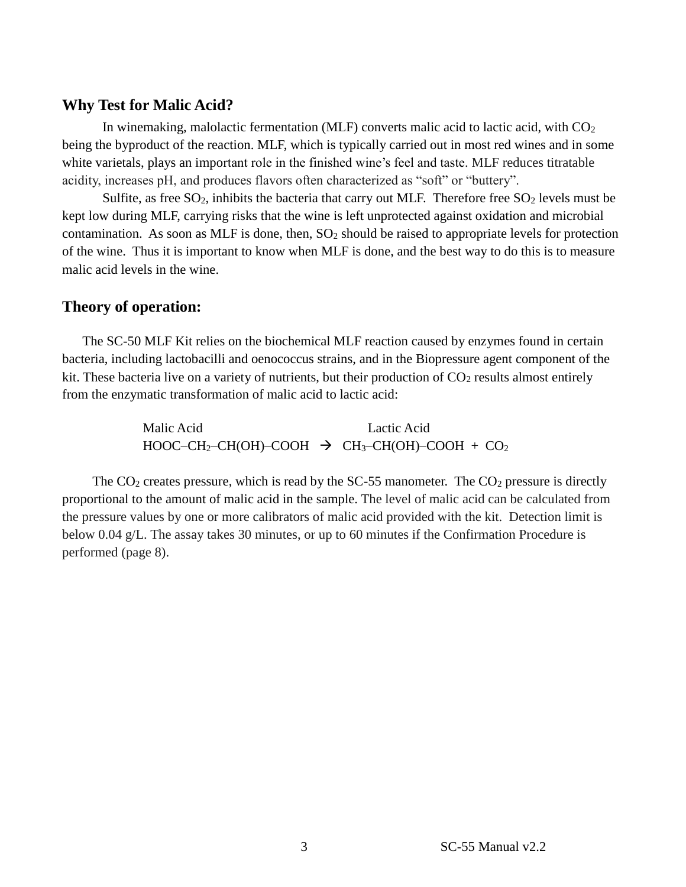#### **Why Test for Malic Acid?**

In winemaking, malolactic fermentation (MLF) converts malic acid to lactic acid, with  $CO<sub>2</sub>$ being the byproduct of the reaction. MLF, which is typically carried out in most red wines and in some white varietals, plays an important role in the finished wine's feel and taste. MLF reduces titratable acidity, increases pH, and produces flavors often characterized as "soft" or "buttery".

Sulfite, as free  $SO_2$ , inhibits the bacteria that carry out MLF. Therefore free  $SO_2$  levels must be kept low during MLF, carrying risks that the wine is left unprotected against oxidation and microbial contamination. As soon as MLF is done, then,  $SO_2$  should be raised to appropriate levels for protection of the wine. Thus it is important to know when MLF is done, and the best way to do this is to measure malic acid levels in the wine.

#### **Theory of operation:**

The SC-50 MLF Kit relies on the biochemical MLF reaction caused by enzymes found in certain bacteria, including lactobacilli and oenococcus strains, and in the Biopressure agent component of the kit. These bacteria live on a variety of nutrients, but their production of  $CO<sub>2</sub>$  results almost entirely from the enzymatic transformation of malic acid to lactic acid:

> Malic Acid Lactic Acid  $HOOC-CH_2-CH(OH)-COOH \rightarrow CH_3-CH(OH)-COOH + CO_2$

The  $CO<sub>2</sub>$  creates pressure, which is read by the SC-55 manometer. The  $CO<sub>2</sub>$  pressure is directly proportional to the amount of malic acid in the sample. The level of malic acid can be calculated from the pressure values by one or more calibrators of malic acid provided with the kit. Detection limit is below 0.04 g/L. The assay takes 30 minutes, or up to 60 minutes if the Confirmation Procedure is performed (page 8).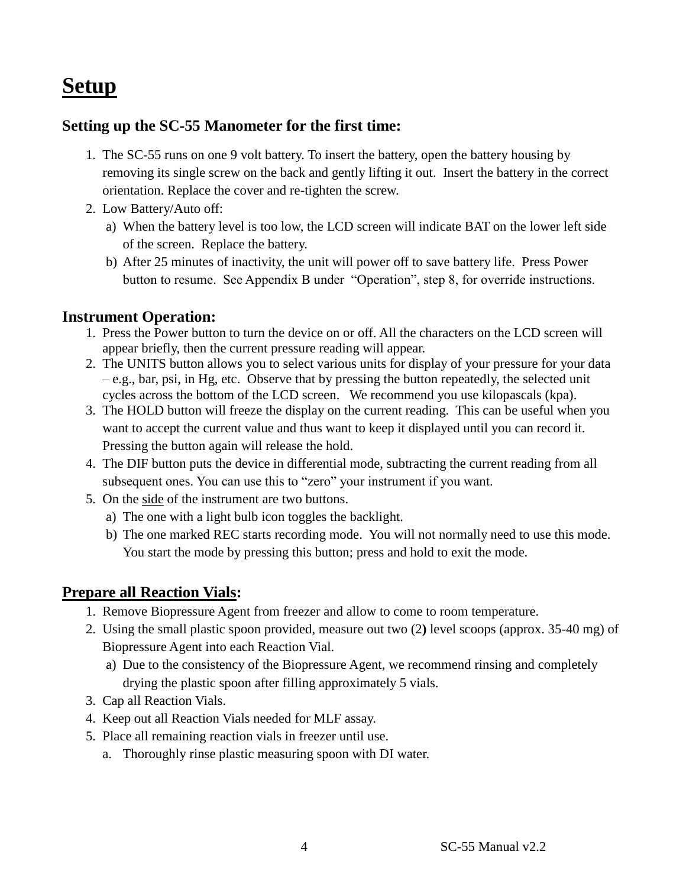# **Setup**

### **Setting up the SC-55 Manometer for the first time:**

- 1. The SC-55 runs on one 9 volt battery. To insert the battery, open the battery housing by removing its single screw on the back and gently lifting it out. Insert the battery in the correct orientation. Replace the cover and re-tighten the screw.
- 2. Low Battery/Auto off:
	- a) When the battery level is too low, the LCD screen will indicate BAT on the lower left side of the screen. Replace the battery.
	- b) After 25 minutes of inactivity, the unit will power off to save battery life. Press Power button to resume. See Appendix B under "Operation", step 8, for override instructions.

### **Instrument Operation:**

- 1. Press the Power button to turn the device on or off. All the characters on the LCD screen will appear briefly, then the current pressure reading will appear.
- 2. The UNITS button allows you to select various units for display of your pressure for your data – e.g., bar, psi, in Hg, etc. Observe that by pressing the button repeatedly, the selected unit cycles across the bottom of the LCD screen. We recommend you use kilopascals (kpa).
- 3. The HOLD button will freeze the display on the current reading. This can be useful when you want to accept the current value and thus want to keep it displayed until you can record it. Pressing the button again will release the hold.
- 4. The DIF button puts the device in differential mode, subtracting the current reading from all subsequent ones. You can use this to "zero" your instrument if you want.
- 5. On the side of the instrument are two buttons.
	- a) The one with a light bulb icon toggles the backlight.
	- b) The one marked REC starts recording mode. You will not normally need to use this mode. You start the mode by pressing this button; press and hold to exit the mode.

### **Prepare all Reaction Vials:**

- 1. Remove Biopressure Agent from freezer and allow to come to room temperature.
- 2. Using the small plastic spoon provided, measure out two (2**)** level scoops (approx. 35-40 mg) of Biopressure Agent into each Reaction Vial.
	- a) Due to the consistency of the Biopressure Agent, we recommend rinsing and completely drying the plastic spoon after filling approximately 5 vials.
- 3. Cap all Reaction Vials.
- 4. Keep out all Reaction Vials needed for MLF assay.
- 5. Place all remaining reaction vials in freezer until use.
	- a. Thoroughly rinse plastic measuring spoon with DI water.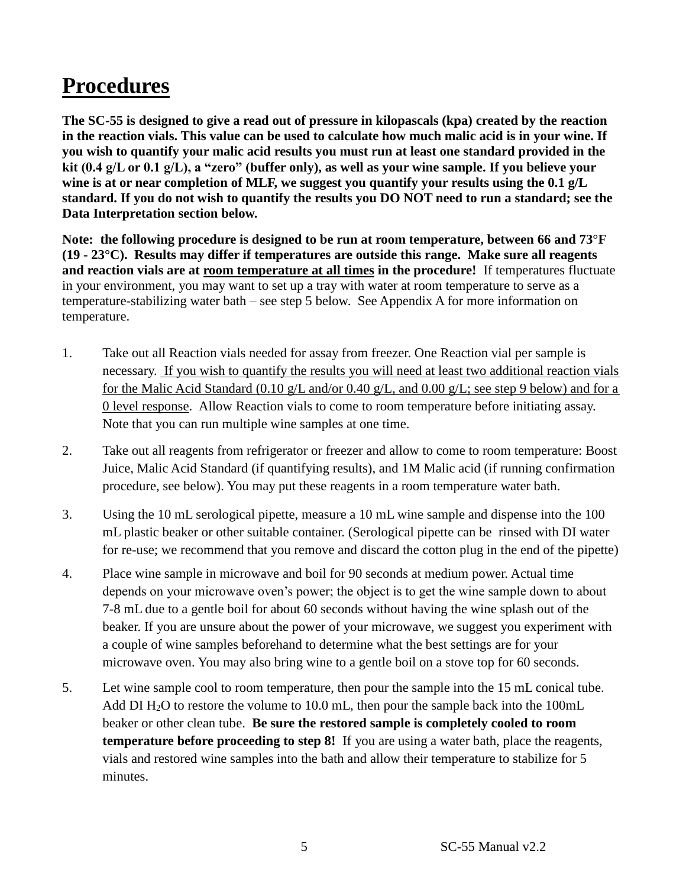# **Procedures**

**The SC-55 is designed to give a read out of pressure in kilopascals (kpa) created by the reaction in the reaction vials. This value can be used to calculate how much malic acid is in your wine. If you wish to quantify your malic acid results you must run at least one standard provided in the kit (0.4 g/L or 0.1 g/L), a "zero" (buffer only), as well as your wine sample. If you believe your wine is at or near completion of MLF, we suggest you quantify your results using the 0.1 g/L standard. If you do not wish to quantify the results you DO NOT need to run a standard; see the Data Interpretation section below.**

**Note: the following procedure is designed to be run at room temperature, between 66 and 73°F (19 - 23°C). Results may differ if temperatures are outside this range. Make sure all reagents and reaction vials are at room temperature at all times in the procedure!** If temperatures fluctuate in your environment, you may want to set up a tray with water at room temperature to serve as a temperature-stabilizing water bath – see step 5 below. See Appendix A for more information on temperature.

- 1. Take out all Reaction vials needed for assay from freezer. One Reaction vial per sample is necessary. If you wish to quantify the results you will need at least two additional reaction vials for the Malic Acid Standard (0.10 g/L and/or 0.40 g/L, and 0.00 g/L; see step 9 below) and for a 0 level response. Allow Reaction vials to come to room temperature before initiating assay. Note that you can run multiple wine samples at one time.
- 2. Take out all reagents from refrigerator or freezer and allow to come to room temperature: Boost Juice, Malic Acid Standard (if quantifying results), and 1M Malic acid (if running confirmation procedure, see below). You may put these reagents in a room temperature water bath.
- 3. Using the 10 mL serological pipette, measure a 10 mL wine sample and dispense into the 100 mL plastic beaker or other suitable container. (Serological pipette can be rinsed with DI water for re-use; we recommend that you remove and discard the cotton plug in the end of the pipette)
- 4. Place wine sample in microwave and boil for 90 seconds at medium power. Actual time depends on your microwave oven's power; the object is to get the wine sample down to about 7-8 mL due to a gentle boil for about 60 seconds without having the wine splash out of the beaker. If you are unsure about the power of your microwave, we suggest you experiment with a couple of wine samples beforehand to determine what the best settings are for your microwave oven. You may also bring wine to a gentle boil on a stove top for 60 seconds.
- 5. Let wine sample cool to room temperature, then pour the sample into the 15 mL conical tube. Add DI  $H_2O$  to restore the volume to 10.0 mL, then pour the sample back into the 100mL beaker or other clean tube. **Be sure the restored sample is completely cooled to room temperature before proceeding to step 8!** If you are using a water bath, place the reagents, vials and restored wine samples into the bath and allow their temperature to stabilize for 5 minutes.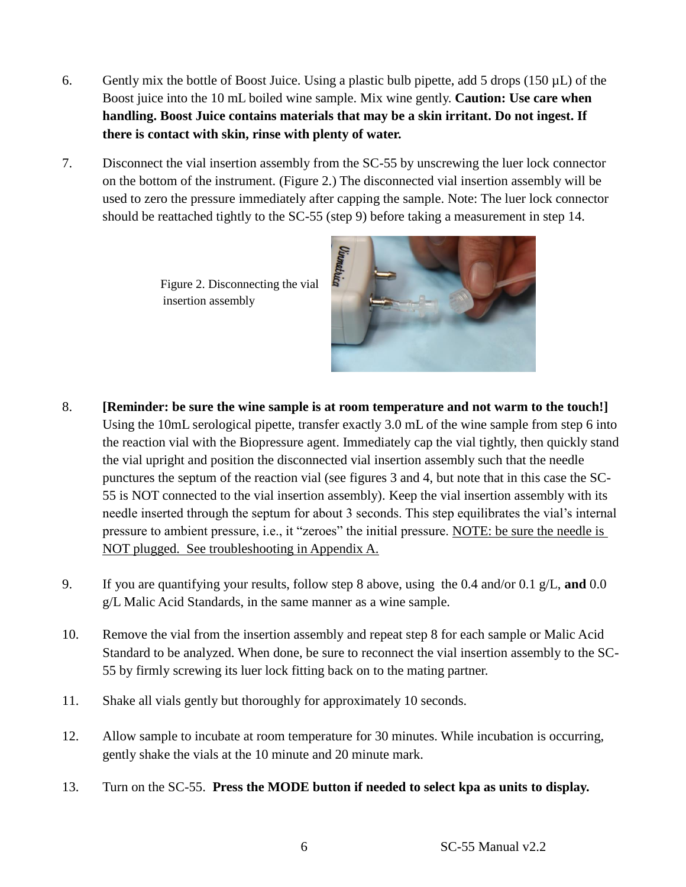- 6. Gently mix the bottle of Boost Juice. Using a plastic bulb pipette, add 5 drops ( $150 \mu L$ ) of the Boost juice into the 10 mL boiled wine sample. Mix wine gently. **Caution: Use care when handling. Boost Juice contains materials that may be a skin irritant. Do not ingest. If there is contact with skin, rinse with plenty of water.**
- 7. Disconnect the vial insertion assembly from the SC-55 by unscrewing the luer lock connector on the bottom of the instrument. (Figure 2.) The disconnected vial insertion assembly will be used to zero the pressure immediately after capping the sample. Note: The luer lock connector should be reattached tightly to the SC-55 (step 9) before taking a measurement in step 14.

Figure 2. Disconnecting the vial insertion assembly



- 8. **[Reminder: be sure the wine sample is at room temperature and not warm to the touch!]**  Using the 10mL serological pipette, transfer exactly 3.0 mL of the wine sample from step 6 into the reaction vial with the Biopressure agent. Immediately cap the vial tightly, then quickly stand the vial upright and position the disconnected vial insertion assembly such that the needle punctures the septum of the reaction vial (see figures 3 and 4, but note that in this case the SC-55 is NOT connected to the vial insertion assembly). Keep the vial insertion assembly with its needle inserted through the septum for about 3 seconds. This step equilibrates the vial's internal pressure to ambient pressure, i.e., it "zeroes" the initial pressure. NOTE: be sure the needle is NOT plugged. See troubleshooting in Appendix A.
- 9. If you are quantifying your results, follow step 8 above, using the 0.4 and/or 0.1 g/L, **and** 0.0 g/L Malic Acid Standards, in the same manner as a wine sample.
- 10. Remove the vial from the insertion assembly and repeat step 8 for each sample or Malic Acid Standard to be analyzed. When done, be sure to reconnect the vial insertion assembly to the SC-55 by firmly screwing its luer lock fitting back on to the mating partner.
- 11. Shake all vials gently but thoroughly for approximately 10 seconds.
- 12. Allow sample to incubate at room temperature for 30 minutes. While incubation is occurring, gently shake the vials at the 10 minute and 20 minute mark.
- 13. Turn on the SC-55. **Press the MODE button if needed to select kpa as units to display.**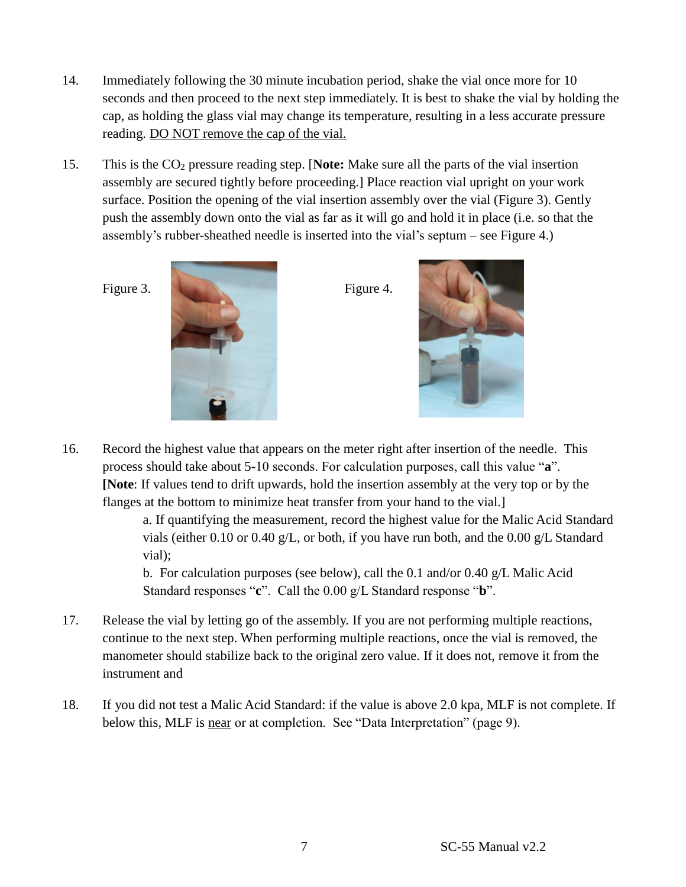- 14. Immediately following the 30 minute incubation period, shake the vial once more for 10 seconds and then proceed to the next step immediately. It is best to shake the vial by holding the cap, as holding the glass vial may change its temperature, resulting in a less accurate pressure reading. DO NOT remove the cap of the vial.
- 15. This is the CO<sup>2</sup> pressure reading step. [**Note:** Make sure all the parts of the vial insertion assembly are secured tightly before proceeding.] Place reaction vial upright on your work surface. Position the opening of the vial insertion assembly over the vial (Figure 3). Gently push the assembly down onto the vial as far as it will go and hold it in place (i.e. so that the assembly's rubber-sheathed needle is inserted into the vial's septum – see Figure 4.)





16. Record the highest value that appears on the meter right after insertion of the needle. This process should take about 5-10 seconds. For calculation purposes, call this value "**a**". **[Note**: If values tend to drift upwards, hold the insertion assembly at the very top or by the flanges at the bottom to minimize heat transfer from your hand to the vial.]

a. If quantifying the measurement, record the highest value for the Malic Acid Standard vials (either 0.10 or 0.40 g/L, or both, if you have run both, and the 0.00 g/L Standard vial);

b. For calculation purposes (see below), call the 0.1 and/or 0.40  $g/L$  Malic Acid Standard responses "**c**". Call the 0.00 g/L Standard response "**b**".

- 17. Release the vial by letting go of the assembly. If you are not performing multiple reactions, continue to the next step. When performing multiple reactions, once the vial is removed, the manometer should stabilize back to the original zero value. If it does not, remove it from the instrument and
- 18. If you did not test a Malic Acid Standard: if the value is above 2.0 kpa, MLF is not complete. If below this, MLF is near or at completion. See "Data Interpretation" (page 9).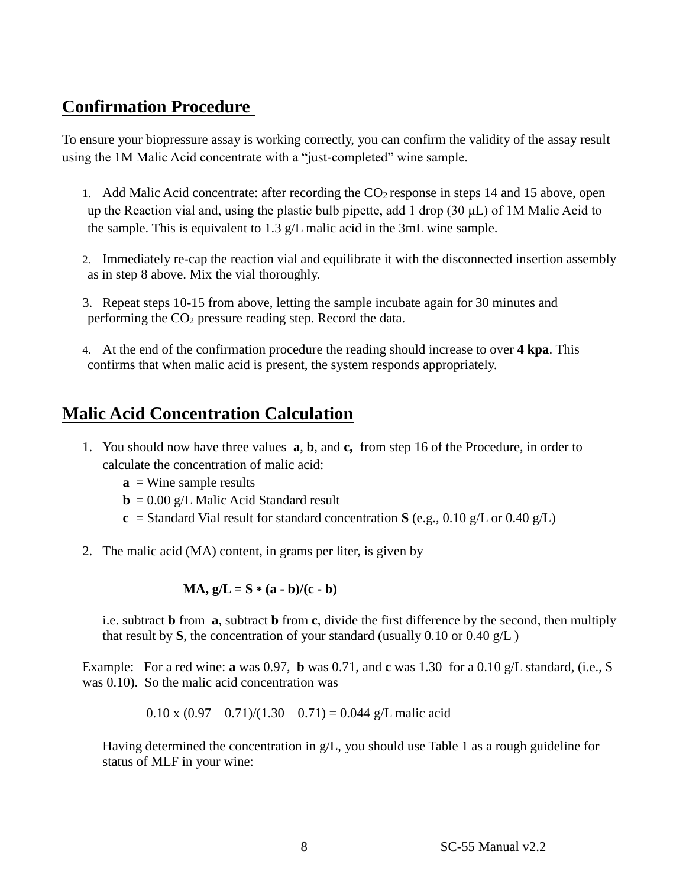# **Confirmation Procedure**

To ensure your biopressure assay is working correctly, you can confirm the validity of the assay result using the 1M Malic Acid concentrate with a "just-completed" wine sample.

- 1. Add Malic Acid concentrate: after recording the  $CO<sub>2</sub>$  response in steps 14 and 15 above, open up the Reaction vial and, using the plastic bulb pipette, add 1 drop (30  $\mu$ L) of 1M Malic Acid to the sample. This is equivalent to 1.3 g/L malic acid in the 3mL wine sample.
- 2. Immediately re-cap the reaction vial and equilibrate it with the disconnected insertion assembly as in step 8 above. Mix the vial thoroughly.
- 3. Repeat steps 10-15 from above, letting the sample incubate again for 30 minutes and performing the CO<sup>2</sup> pressure reading step. Record the data.
- 4. At the end of the confirmation procedure the reading should increase to over **4 kpa**. This confirms that when malic acid is present, the system responds appropriately.

# **Malic Acid Concentration Calculation**

- 1. You should now have three values **a**, **b**, and **c,** from step 16 of the Procedure, in order to calculate the concentration of malic acid:
	- $\mathbf{a}$  = Wine sample results
	- $\mathbf{b} = 0.00 \text{ g/L}$  Malic Acid Standard result
	- **c** = Standard Vial result for standard concentration **S** (e.g., 0.10 g/L or 0.40 g/L)
- 2. The malic acid (MA) content, in grams per liter, is given by

$$
MA, g/L = S * (a - b)/(c - b)
$$

i.e. subtract **b** from **a**, subtract **b** from **c**, divide the first difference by the second, then multiply that result by S, the concentration of your standard (usually  $0.10$  or  $0.40$  g/L)

Example: For a red wine: **a** was 0.97, **b** was 0.71, and **c** was 1.30 for a 0.10  $g/L$  standard, (i.e., S was 0.10). So the malic acid concentration was

 $0.10 \times (0.97 - 0.71)/(1.30 - 0.71) = 0.044$  g/L malic acid

Having determined the concentration in  $g/L$ , you should use Table 1 as a rough guideline for status of MLF in your wine: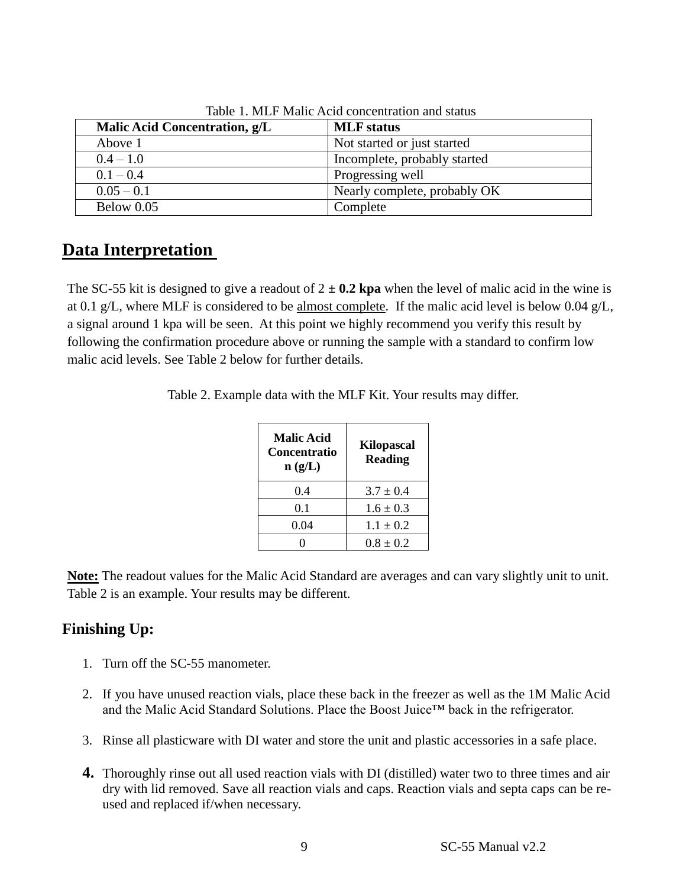| Malic Acid Concentration, g/L | <b>MLF</b> status            |
|-------------------------------|------------------------------|
| Above 1                       | Not started or just started  |
| $0.4 - 1.0$                   | Incomplete, probably started |
| $0.1 - 0.4$                   | Progressing well             |
| $0.05 - 0.1$                  | Nearly complete, probably OK |
| Below 0.05                    | Complete                     |

Table 1. MLF Malic Acid concentration and status

# **Data Interpretation**

The SC-55 kit is designed to give a readout of  $2 \pm 0.2$  kpa when the level of malic acid in the wine is at 0.1 g/L, where MLF is considered to be almost complete. If the malic acid level is below 0.04 g/L, a signal around 1 kpa will be seen. At this point we highly recommend you verify this result by following the confirmation procedure above or running the sample with a standard to confirm low malic acid levels. See Table 2 below for further details.

Table 2. Example data with the MLF Kit. Your results may differ.

| <b>Malic Acid</b><br>Concentratio<br>n(g/L) | <b>Kilopascal</b><br><b>Reading</b> |
|---------------------------------------------|-------------------------------------|
| 0.4                                         | $3.7 \pm 0.4$                       |
| 0.1                                         | $1.6 \pm 0.3$                       |
| 0.04                                        | $1.1 \pm 0.2$                       |
|                                             | $0.8 + 0.2$                         |

**Note:** The readout values for the Malic Acid Standard are averages and can vary slightly unit to unit. Table 2 is an example. Your results may be different.

## **Finishing Up:**

- 1. Turn off the SC-55 manometer.
- 2. If you have unused reaction vials, place these back in the freezer as well as the 1M Malic Acid and the Malic Acid Standard Solutions. Place the Boost Juice™ back in the refrigerator.
- 3. Rinse all plasticware with DI water and store the unit and plastic accessories in a safe place.
- **4.** Thoroughly rinse out all used reaction vials with DI (distilled) water two to three times and air dry with lid removed. Save all reaction vials and caps. Reaction vials and septa caps can be reused and replaced if/when necessary.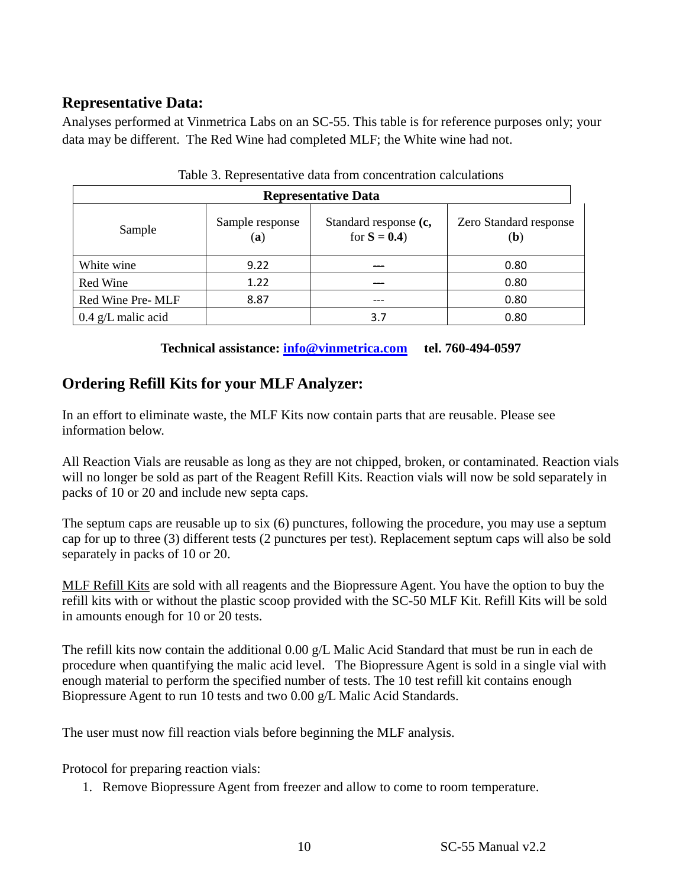## **Representative Data:**

Analyses performed at Vinmetrica Labs on an SC-55. This table is for reference purposes only; your data may be different. The Red Wine had completed MLF; the White wine had not.

| <b>Representative Data</b> |                        |                                        |                                        |  |  |
|----------------------------|------------------------|----------------------------------------|----------------------------------------|--|--|
| Sample                     | Sample response<br>(a) | Standard response (c,<br>for $S = 0.4$ | Zero Standard response<br>( <b>b</b> ) |  |  |
| White wine                 | 9.22                   |                                        | 0.80                                   |  |  |
| Red Wine                   | 1.22                   | ---                                    | 0.80                                   |  |  |
| Red Wine Pre- MLF          | 8.87                   | ---                                    | 0.80                                   |  |  |
| $0.4$ g/L malic acid       |                        | 3.7                                    | 0.80                                   |  |  |
|                            |                        |                                        |                                        |  |  |

#### Table 3. Representative data from concentration calculations

**Technical assistance: [info@vinmetrica.com](mailto:info@vinmetrica.com) tel. 760-494-0597**

# **Ordering Refill Kits for your MLF Analyzer:**

In an effort to eliminate waste, the MLF Kits now contain parts that are reusable. Please see information below.

All Reaction Vials are reusable as long as they are not chipped, broken, or contaminated. Reaction vials will no longer be sold as part of the Reagent Refill Kits. Reaction vials will now be sold separately in packs of 10 or 20 and include new septa caps.

The septum caps are reusable up to six (6) punctures, following the procedure, you may use a septum cap for up to three (3) different tests (2 punctures per test). Replacement septum caps will also be sold separately in packs of 10 or 20.

MLF Refill Kits are sold with all reagents and the Biopressure Agent. You have the option to buy the refill kits with or without the plastic scoop provided with the SC-50 MLF Kit. Refill Kits will be sold in amounts enough for 10 or 20 tests.

The refill kits now contain the additional 0.00 g/L Malic Acid Standard that must be run in each de procedure when quantifying the malic acid level. The Biopressure Agent is sold in a single vial with enough material to perform the specified number of tests. The 10 test refill kit contains enough Biopressure Agent to run 10 tests and two 0.00 g/L Malic Acid Standards.

The user must now fill reaction vials before beginning the MLF analysis.

Protocol for preparing reaction vials:

1. Remove Biopressure Agent from freezer and allow to come to room temperature.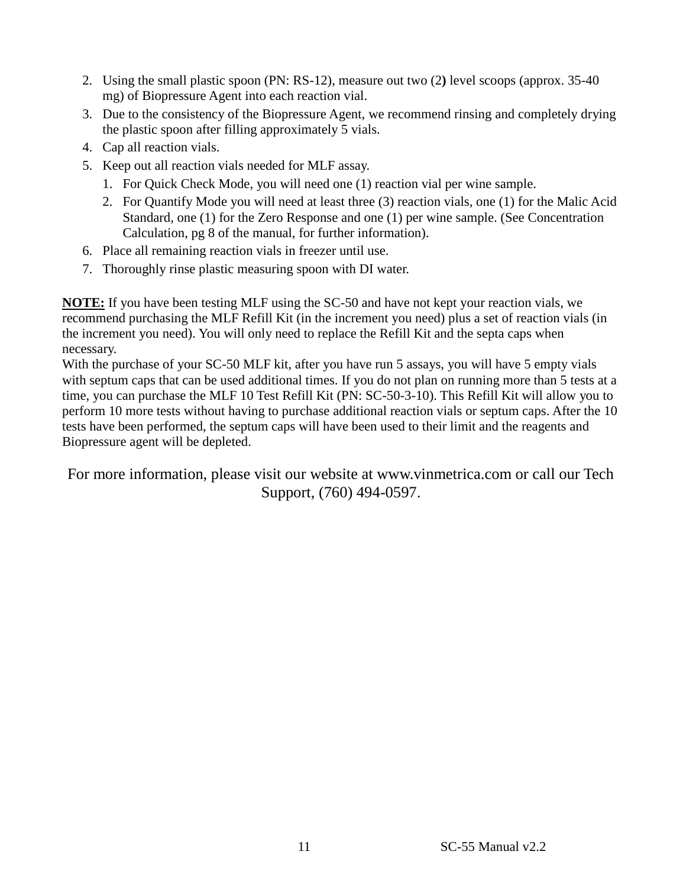- 2. Using the small plastic spoon (PN: RS-12), measure out two (2**)** level scoops (approx. 35-40 mg) of Biopressure Agent into each reaction vial.
- 3. Due to the consistency of the Biopressure Agent, we recommend rinsing and completely drying the plastic spoon after filling approximately 5 vials.
- 4. Cap all reaction vials.
- 5. Keep out all reaction vials needed for MLF assay.
	- 1. For Quick Check Mode, you will need one (1) reaction vial per wine sample.
	- 2. For Quantify Mode you will need at least three (3) reaction vials, one (1) for the Malic Acid Standard, one (1) for the Zero Response and one (1) per wine sample. (See Concentration Calculation, pg 8 of the manual, for further information).
- 6. Place all remaining reaction vials in freezer until use.
- 7. Thoroughly rinse plastic measuring spoon with DI water.

**NOTE:** If you have been testing MLF using the SC-50 and have not kept your reaction vials, we recommend purchasing the MLF Refill Kit (in the increment you need) plus a set of reaction vials (in the increment you need). You will only need to replace the Refill Kit and the septa caps when necessary.

With the purchase of your SC-50 MLF kit, after you have run 5 assays, you will have 5 empty vials with septum caps that can be used additional times. If you do not plan on running more than 5 tests at a time, you can purchase the MLF 10 Test Refill Kit (PN: SC-50-3-10). This Refill Kit will allow you to perform 10 more tests without having to purchase additional reaction vials or septum caps. After the 10 tests have been performed, the septum caps will have been used to their limit and the reagents and Biopressure agent will be depleted.

For more information, please visit our website at www.vinmetrica.com or call our Tech Support, (760) 494-0597.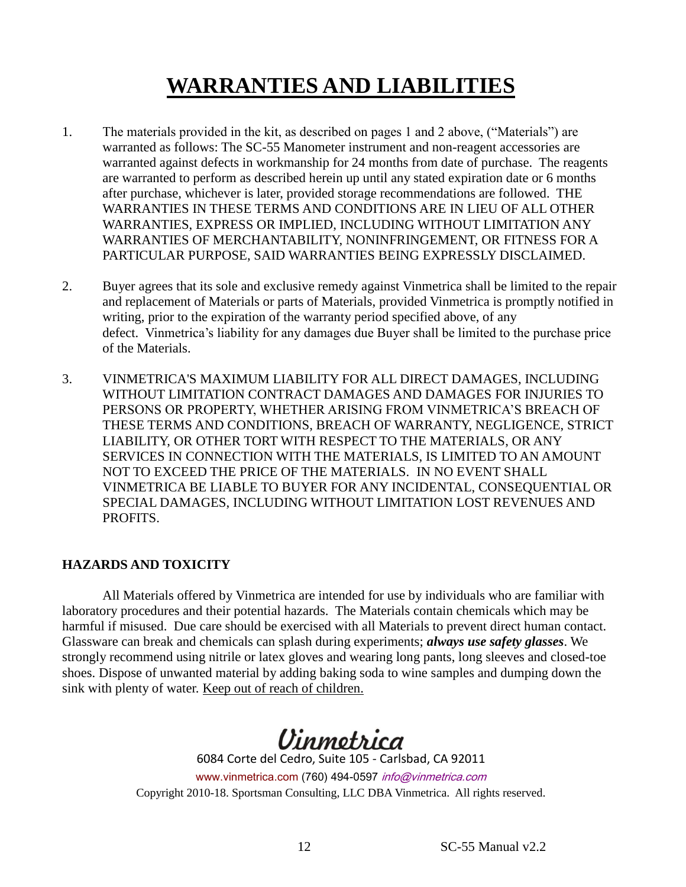# **WARRANTIES AND LIABILITIES**

- 1. The materials provided in the kit, as described on pages 1 and 2 above, ("Materials") are warranted as follows: The SC-55 Manometer instrument and non-reagent accessories are warranted against defects in workmanship for 24 months from date of purchase. The reagents are warranted to perform as described herein up until any stated expiration date or 6 months after purchase, whichever is later, provided storage recommendations are followed. THE WARRANTIES IN THESE TERMS AND CONDITIONS ARE IN LIEU OF ALL OTHER WARRANTIES, EXPRESS OR IMPLIED, INCLUDING WITHOUT LIMITATION ANY WARRANTIES OF MERCHANTABILITY, NONINFRINGEMENT, OR FITNESS FOR A PARTICULAR PURPOSE, SAID WARRANTIES BEING EXPRESSLY DISCLAIMED.
- 2. Buyer agrees that its sole and exclusive remedy against Vinmetrica shall be limited to the repair and replacement of Materials or parts of Materials, provided Vinmetrica is promptly notified in writing, prior to the expiration of the warranty period specified above, of any defect. Vinmetrica's liability for any damages due Buyer shall be limited to the purchase price of the Materials.
- 3. VINMETRICA'S MAXIMUM LIABILITY FOR ALL DIRECT DAMAGES, INCLUDING WITHOUT LIMITATION CONTRACT DAMAGES AND DAMAGES FOR INJURIES TO PERSONS OR PROPERTY, WHETHER ARISING FROM VINMETRICA'S BREACH OF THESE TERMS AND CONDITIONS, BREACH OF WARRANTY, NEGLIGENCE, STRICT LIABILITY, OR OTHER TORT WITH RESPECT TO THE MATERIALS, OR ANY SERVICES IN CONNECTION WITH THE MATERIALS, IS LIMITED TO AN AMOUNT NOT TO EXCEED THE PRICE OF THE MATERIALS. IN NO EVENT SHALL VINMETRICA BE LIABLE TO BUYER FOR ANY INCIDENTAL, CONSEQUENTIAL OR SPECIAL DAMAGES, INCLUDING WITHOUT LIMITATION LOST REVENUES AND PROFITS.

#### **HAZARDS AND TOXICITY**

All Materials offered by Vinmetrica are intended for use by individuals who are familiar with laboratory procedures and their potential hazards. The Materials contain chemicals which may be harmful if misused. Due care should be exercised with all Materials to prevent direct human contact. Glassware can break and chemicals can splash during experiments; *always use safety glasses*. We strongly recommend using nitrile or latex gloves and wearing long pants, long sleeves and closed-toe shoes. Dispose of unwanted material by adding baking soda to wine samples and dumping down the sink with plenty of water. Keep out of reach of children.



6084 Corte del Cedro, Suite 105 - Carlsbad, CA 92011 www.vinmetrica.com (760) 494-0597 info@vinmetrica.com Copyright 2010-18. Sportsman Consulting, LLC DBA Vinmetrica. All rights reserved.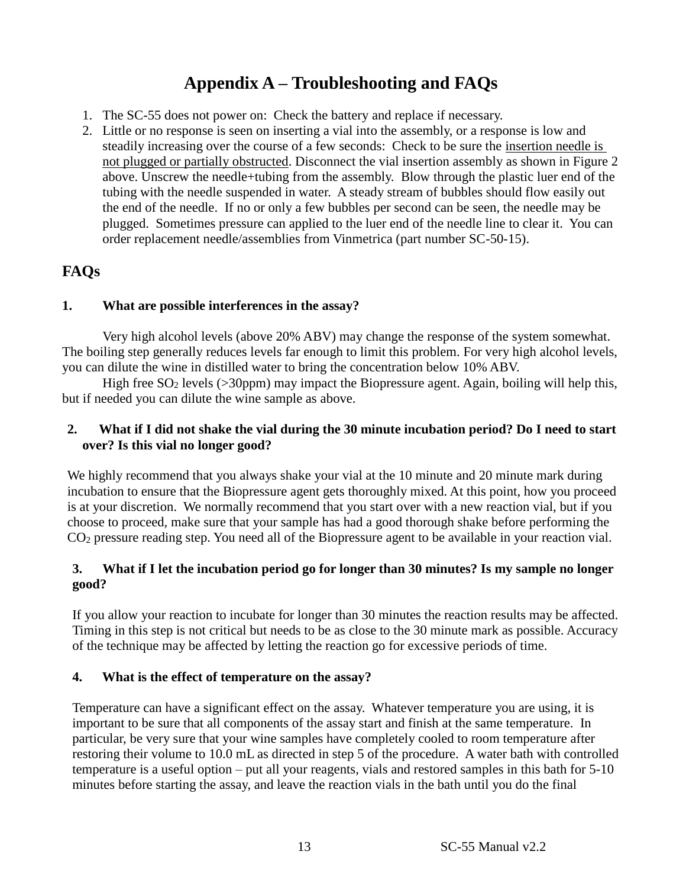# **Appendix A – Troubleshooting and FAQs**

- 1. The SC-55 does not power on: Check the battery and replace if necessary.
- 2. Little or no response is seen on inserting a vial into the assembly, or a response is low and steadily increasing over the course of a few seconds: Check to be sure the insertion needle is not plugged or partially obstructed. Disconnect the vial insertion assembly as shown in Figure 2 above. Unscrew the needle+tubing from the assembly. Blow through the plastic luer end of the tubing with the needle suspended in water. A steady stream of bubbles should flow easily out the end of the needle. If no or only a few bubbles per second can be seen, the needle may be plugged. Sometimes pressure can applied to the luer end of the needle line to clear it. You can order replacement needle/assemblies from Vinmetrica (part number SC-50-15).

### **FAQs**

#### **1. What are possible interferences in the assay?**

Very high alcohol levels (above 20% ABV) may change the response of the system somewhat. The boiling step generally reduces levels far enough to limit this problem. For very high alcohol levels, you can dilute the wine in distilled water to bring the concentration below 10% ABV.

High free  $SO_2$  levels ( $>30$ ppm) may impact the Biopressure agent. Again, boiling will help this, but if needed you can dilute the wine sample as above.

#### **2. What if I did not shake the vial during the 30 minute incubation period? Do I need to start over? Is this vial no longer good?**

We highly recommend that you always shake your vial at the 10 minute and 20 minute mark during incubation to ensure that the Biopressure agent gets thoroughly mixed. At this point, how you proceed is at your discretion. We normally recommend that you start over with a new reaction vial, but if you choose to proceed, make sure that your sample has had a good thorough shake before performing the CO<sup>2</sup> pressure reading step. You need all of the Biopressure agent to be available in your reaction vial.

#### **3. What if I let the incubation period go for longer than 30 minutes? Is my sample no longer good?**

If you allow your reaction to incubate for longer than 30 minutes the reaction results may be affected. Timing in this step is not critical but needs to be as close to the 30 minute mark as possible. Accuracy of the technique may be affected by letting the reaction go for excessive periods of time.

#### **4. What is the effect of temperature on the assay?**

Temperature can have a significant effect on the assay. Whatever temperature you are using, it is important to be sure that all components of the assay start and finish at the same temperature. In particular, be very sure that your wine samples have completely cooled to room temperature after restoring their volume to 10.0 mL as directed in step 5 of the procedure. A water bath with controlled temperature is a useful option – put all your reagents, vials and restored samples in this bath for 5-10 minutes before starting the assay, and leave the reaction vials in the bath until you do the final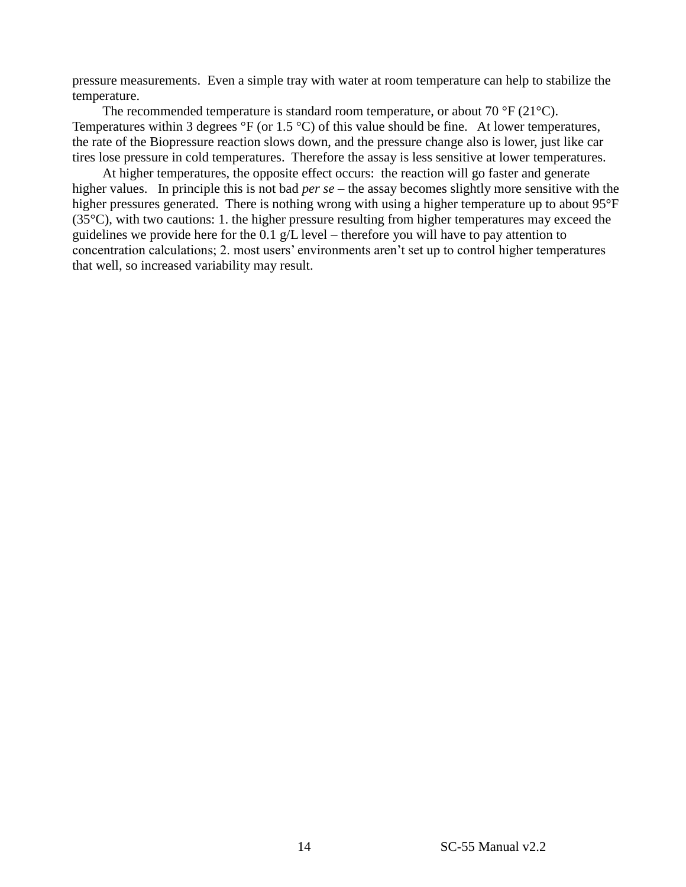pressure measurements. Even a simple tray with water at room temperature can help to stabilize the temperature.

The recommended temperature is standard room temperature, or about 70  $\rm{^{\circ}F}$  (21 $\rm{^{\circ}C}$ ). Temperatures within 3 degrees  $\mathrm{P}F$  (or 1.5  $\mathrm{P}C$ ) of this value should be fine. At lower temperatures, the rate of the Biopressure reaction slows down, and the pressure change also is lower, just like car tires lose pressure in cold temperatures. Therefore the assay is less sensitive at lower temperatures.

At higher temperatures, the opposite effect occurs: the reaction will go faster and generate higher values. In principle this is not bad *per se* – the assay becomes slightly more sensitive with the higher pressures generated. There is nothing wrong with using a higher temperature up to about 95°F  $(35^{\circ}C)$ , with two cautions: 1. the higher pressure resulting from higher temperatures may exceed the guidelines we provide here for the 0.1  $g/L$  level – therefore you will have to pay attention to concentration calculations; 2. most users' environments aren't set up to control higher temperatures that well, so increased variability may result.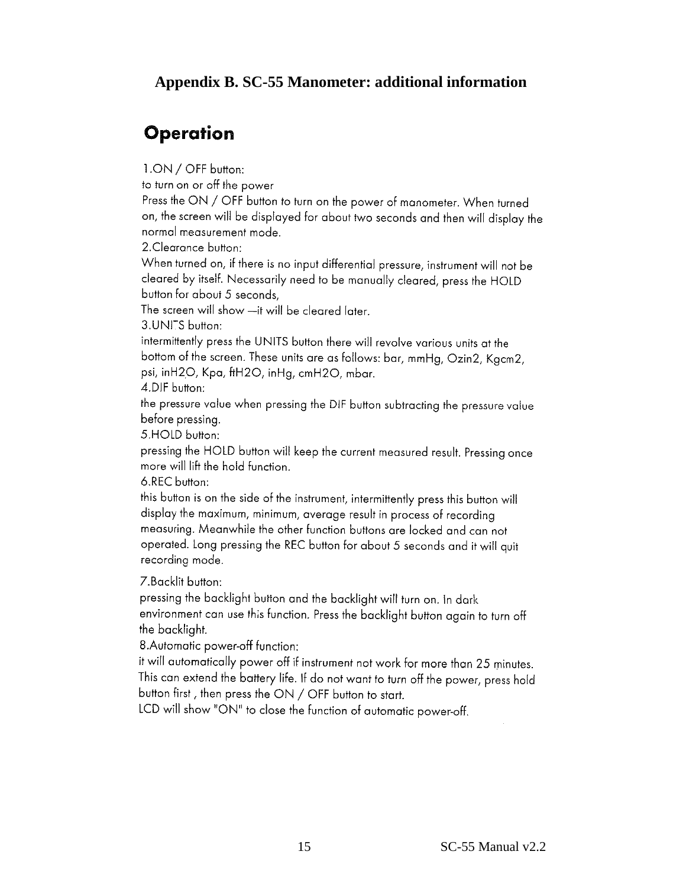### **Appendix B. SC-55 Manometer: additional information**

# Operation

1.ON / OFF button:

to turn on or off the power

Press the ON / OFF button to turn on the power of manometer. When turned on, the screen will be displayed for about two seconds and then will display the normal measurement mode.

2. Clearance button:

When turned on, if there is no input differential pressure, instrument will not be cleared by itself. Necessarily need to be manually cleared, press the HOLD button for about 5 seconds,

The screen will show -it will be cleared later.

3.UNITS button:

intermittently press the UNITS button there will revolve various units at the bottom of the screen. These units are as follows: bar, mmHg, Ozin2, Kgcm2, psi, inH2O, Kpa, ftH2O, inHg, cmH2O, mbar.

4.DIF button:

the pressure value when pressing the DIF button subtracting the pressure value before pressing.

5.HOLD button:

pressing the HOLD button will keep the current measured result. Pressing once more will lift the hold function.

6.REC button:

this button is on the side of the instrument, intermittently press this button will display the maximum, minimum, average result in process of recording measuring. Meanwhile the other function buttons are locked and can not operated. Long pressing the REC button for about 5 seconds and it will quit recording mode.

7. Backlit button:

pressing the backlight button and the backlight will turn on. In dark environment can use this function. Press the backlight button again to turn off the backlight.

8. Automatic power-off function:

it will automatically power off if instrument not work for more than 25 minutes. This can extend the battery life. If do not want to turn off the power, press hold button first, then press the ON / OFF button to start.

LCD will show "ON" to close the function of automatic power-off.